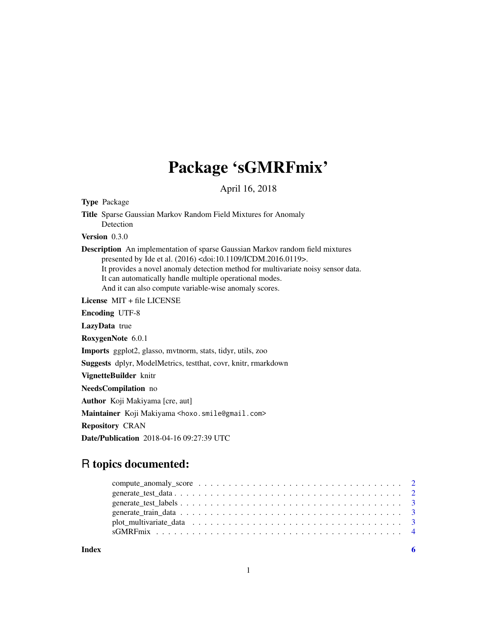# Package 'sGMRFmix'

April 16, 2018

Type Package

Title Sparse Gaussian Markov Random Field Mixtures for Anomaly Detection

Version 0.3.0

Description An implementation of sparse Gaussian Markov random field mixtures presented by Ide et al. (2016) <doi:10.1109/ICDM.2016.0119>. It provides a novel anomaly detection method for multivariate noisy sensor data. It can automatically handle multiple operational modes. And it can also compute variable-wise anomaly scores.

License MIT + file LICENSE

Encoding UTF-8

LazyData true

RoxygenNote 6.0.1

Imports ggplot2, glasso, mvtnorm, stats, tidyr, utils, zoo

Suggests dplyr, ModelMetrics, testthat, covr, knitr, rmarkdown

VignetteBuilder knitr

NeedsCompilation no

Author Koji Makiyama [cre, aut]

Maintainer Koji Makiyama <hoxo.smile@gmail.com>

Repository CRAN

Date/Publication 2018-04-16 09:27:39 UTC

# R topics documented:

**Index** [6](#page-5-0) **6**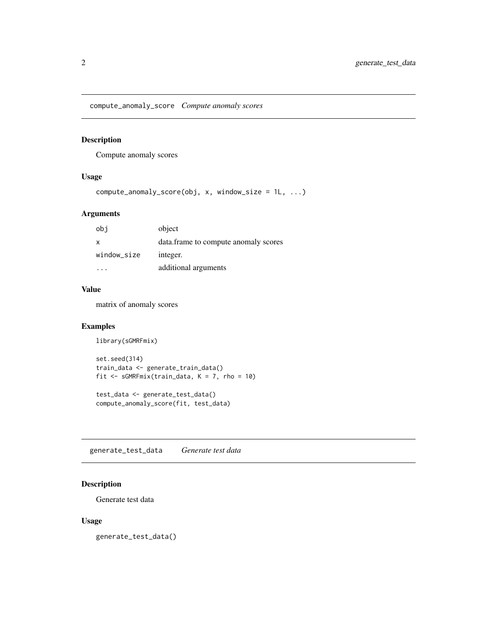<span id="page-1-0"></span>compute\_anomaly\_score *Compute anomaly scores*

#### Description

Compute anomaly scores

### Usage

```
compute\_anomaly\_score(obj, x, window\_size = 1L, ...)
```
#### Arguments

| obi         | object                                |
|-------------|---------------------------------------|
| X           | data. frame to compute anomaly scores |
| window_size | integer.                              |
|             | additional arguments                  |

#### Value

matrix of anomaly scores

#### Examples

```
library(sGMRFmix)
```

```
set.seed(314)
train_data <- generate_train_data()
fit <- sGMRFmix(train_data, K = 7, rho = 10)
test_data <- generate_test_data()
```

```
compute_anomaly_score(fit, test_data)
```
generate\_test\_data *Generate test data*

#### Description

Generate test data

#### Usage

generate\_test\_data()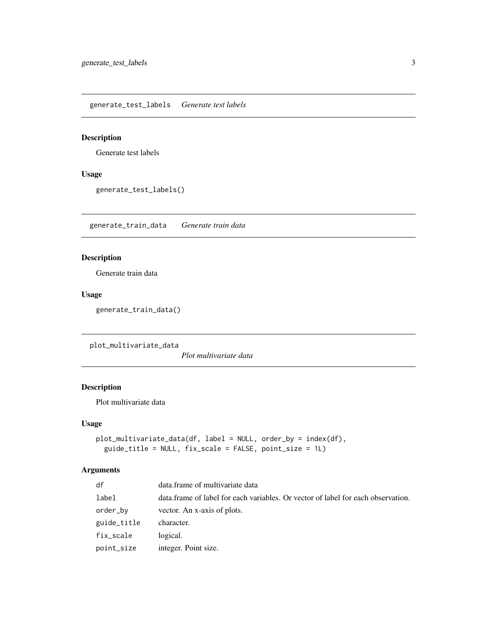<span id="page-2-0"></span>generate\_test\_labels *Generate test labels*

#### Description

Generate test labels

## Usage

generate\_test\_labels()

generate\_train\_data *Generate train data*

#### Description

Generate train data

# Usage

generate\_train\_data()

plot\_multivariate\_data

*Plot multivariate data*

## Description

Plot multivariate data

#### Usage

```
plot_multivariate_data(df, label = NULL, order_by = index(df),
 guide_title = NULL, fix_scale = FALSE, point_size = 1L)
```
#### Arguments

| df          | data.frame of multivariate data                                                  |
|-------------|----------------------------------------------------------------------------------|
| label       | data.frame of label for each variables. Or vector of label for each observation. |
| order_bv    | vector. An x-axis of plots.                                                      |
| guide_title | character.                                                                       |
| fix_scale   | logical.                                                                         |
| point_size  | integer. Point size.                                                             |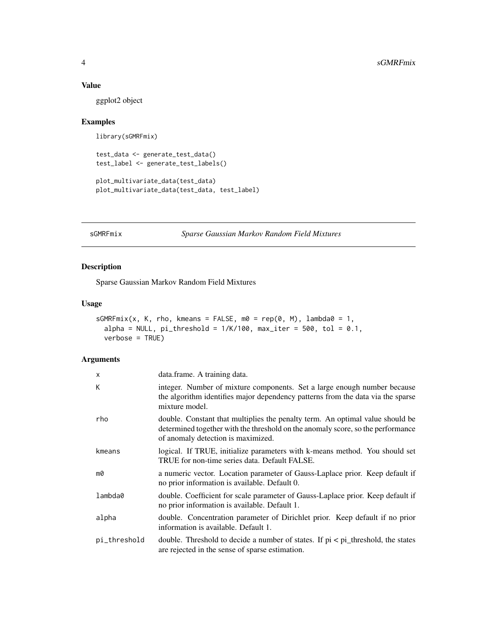#### Value

ggplot2 object

#### Examples

```
library(sGMRFmix)
```

```
test_data <- generate_test_data()
test_label <- generate_test_labels()
```

```
plot_multivariate_data(test_data)
plot_multivariate_data(test_data, test_label)
```

```
sGMRFmix Sparse Gaussian Markov Random Field Mixtures
```
#### Description

Sparse Gaussian Markov Random Field Mixtures

#### Usage

```
sGMRFmix(x, K, rho, kmeans = FALSE, m0 = rep(0, M), lambda0 = 1,alpha = NULL, pi_{\text{th}}reshold = 1/K/100, max_iter = 500, tol = 0.1,
 verbose = TRUE)
```
#### Arguments

| X            | data.frame. A training data.                                                                                                                                                                           |
|--------------|--------------------------------------------------------------------------------------------------------------------------------------------------------------------------------------------------------|
| К            | integer. Number of mixture components. Set a large enough number because<br>the algorithm identifies major dependency patterns from the data via the sparse<br>mixture model.                          |
| rho          | double. Constant that multiplies the penalty term. An optimal value should be<br>determined together with the threshold on the anomaly score, so the performance<br>of anomaly detection is maximized. |
| kmeans       | logical. If TRUE, initialize parameters with k-means method. You should set<br>TRUE for non-time series data. Default FALSE.                                                                           |
| m0           | a numeric vector. Location parameter of Gauss-Laplace prior. Keep default if<br>no prior information is available. Default 0.                                                                          |
| lambda0      | double. Coefficient for scale parameter of Gauss-Laplace prior. Keep default if<br>no prior information is available. Default 1.                                                                       |
| alpha        | double. Concentration parameter of Dirichlet prior. Keep default if no prior<br>information is available. Default 1.                                                                                   |
| pi_threshold | double. Threshold to decide a number of states. If $pi < pi$ threshold, the states<br>are rejected in the sense of sparse estimation.                                                                  |

<span id="page-3-0"></span>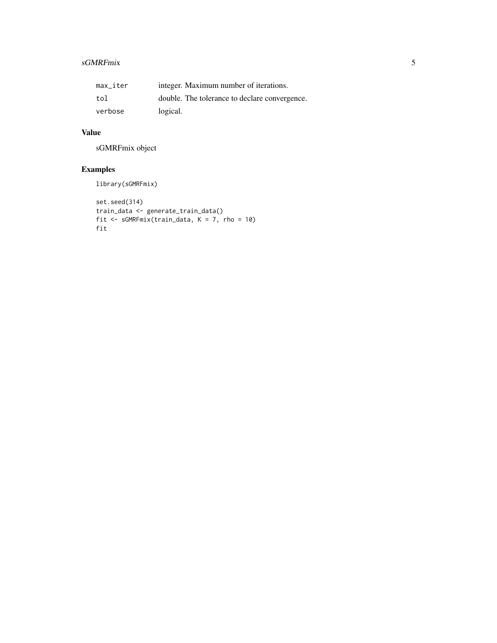# sGMRFmix 5

| max iter | integer. Maximum number of iterations.        |
|----------|-----------------------------------------------|
| tol      | double. The tolerance to declare convergence. |
| verbose  | logical.                                      |

# Value

sGMRFmix object

# Examples

library(sGMRFmix)

```
set.seed(314)
train_data <- generate_train_data()
fit <- sGMRFmix(train_data, K = 7, rho = 10)
fit
```